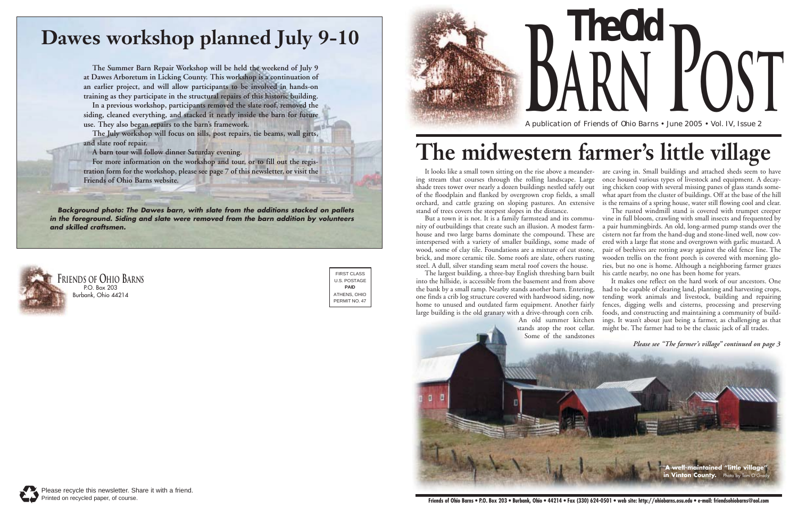But a town it is not. It is a family farmstead and its community of outbuildings that create such an illusion. A modest farmhouse and two large barns dominate the compound. These are interspersed with a variety of smaller buildings, some made of wood, some of clay tile. Foundations are a mixture of cut stone, brick, and more ceramic tile. Some roofs are slate, others rusting steel. A dull, silver standing seam metal roof covers the house.

It looks like a small town sitting on the rise above a meander-are caving in. Small buildings and attached sheds seem to have ing stream that courses through the rolling landscape. Large shade trees tower over nearly a dozen buildings nestled safely out of the floodplain and flanked by overgrown crop fields, a small orchard, and cattle grazing on sloping pastures. An extensive stand of trees covers the steepest slopes in the distance. once housed various types of livestock and equipment. A decaying chicken coop with several missing panes of glass stands somewhat apart from the cluster of buildings. Off at the base of the hill is the remains of a spring house, water still flowing cool and clear. The rusted windmill stand is covered with trumpet creeper

The largest building, a three-bay English threshing barn built into the hillside, is accessible from the basement and from above the bank by a small ramp. Nearby stands another barn. Entering, one finds a crib log structure covered with hardwood siding, now home to unused and outdated farm equipment. Another fairly large building is the old granary with a drive-through corn crib.

vine in full bloom, crawling with small insects and frequented by a pair hummingbirds. An old, long-armed pump stands over the cistern not far from the hand-dug and stone-lined well, now covered with a large flat stone and overgrown with garlic mustard. A pair of beehives are rotting away against the old fence line. The wooden trellis on the front porch is covered with morning glories, but no one is home. Although a neighboring farmer grazes his cattle nearby, no one has been home for years.



It makes one reflect on the hard work of our ancestors. One had to be capable of clearing land, planting and harvesting crops, tending work animals and livestock, building and repairing fences, digging wells and cisterns, processing and preserving foods, and constructing and maintaining a community of buildings. It wasn't about just being a farmer, as challenging as that



A publication of Friends of Ohio Barns • June 2005 • Vol. IV, Issue 2



# **The midwestern farmer's little village**



## **Dawes workshop planned July 9-10**

**The Summer Barn Repair Workshop will be held the weekend of July 9 at Dawes Arboretum in Licking County. This workshop is a continuation of an earlier project, and will allow participants to be involved in hands-on training as they participate in the structural repairs of this historic building.** 

**In a previous workshop, participants removed the slate roof, removed the siding, cleaned everything, and stacked it neatly inside the barn for future use. They also began repairs to the barn's framework.**

**The July workshop will focus on sills, post repairs, tie beams, wall girts, and slate roof repair.**

**A barn tour will follow dinner Saturday evening.** 

**For more information on the workshop and tour, or to fill out the registration form for the workshop, please see page 7 of this newsletter, or visit the Friends of Ohio Barns website.**

*Background photo: The Dawes barn, with slate from the additions stacked on pallets in the foreground. Siding and slate were removed from the barn addition by volunteers and skilled craftsmen.*

> FIRST CLASS U.S. POSTAGE **PAID** ATHENS, OHIO PERMIT NO. 47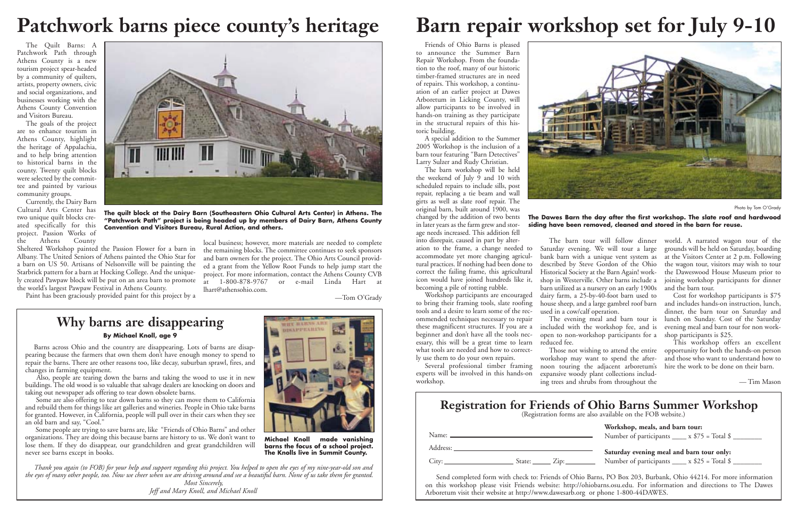Friends of Ohio Barns is pleased to announce the Summer Barn Repair Workshop. From the foundation to the roof, many of our historic timber-framed structures are in need of repairs. This workshop, a continuation of an earlier project at Dawes Arboretum in Licking County, will allow participants to be involved in hands-on training as they participate in the structural repairs of this historic building.

A special addition to the Summer 2005 Workshop is the inclusion of a barn tour featuring "Barn Detectives" Larry Sulzer and Rudy Christian.

The barn workshop will be held the weekend of July 9 and 10 with scheduled repairs to include sills, post repair, replacing a tie beam and wall girts as well as slate roof repair. The original barn, built around 1900, was changed by the addition of two bents in later years as the farm grew and storage needs increased. This addition fell into disrepair, caused in part by alter-

ation to the frame, a change needed to accommodate yet more changing agricultural practices. If nothing had been done to correct the failing frame, this agricultural icon would have joined hundreds like it, becoming a pile of rotting rubble.

Workshop participants are encouraged to bring their framing tools, slate roofing tools and a desire to learn some of the recommended techniques necessary to repair these magnificent structures. If you are a beginner and don't have all the tools necessary, this will be a great time to learn what tools are needed and how to correctly use them to do your own repairs.

Several professional timber framing experts will be involved in this hands-on workshop.

**Workshop, meals, and barn tour:** Number of participants  $\_\_\ x$  \$75 = Total \$

Saturday evening. We will tour a large bank barn with a unique vent system as described by Steve Gordon of the Ohio Historical Society at the Barn Again! workshop in Westerville. Other barns include a barn utilized as a nursery on an early 1900s dairy farm, a 25-by-40-foot barn used to house sheep, and a large gambrel roof barn used in a cow/calf operation. The evening meal and barn tour is

> **Saturday evening meal and barn tour only:** Number of participants  $\_\_\_\ x$  \$25 = Total \$

included with the workshop fee, and is open to non-workshop participants for a reduced fee.

The barn tour will follow dinner world. A narrated wagon tour of the grounds will be held on Saturday, boarding at the Visitors Center at 2 p.m. Following the wagon tour, visitors may wish to tour the Daweswood House Museum prior to joining workshop participants for dinner and the barn tour.

Currently, the Dairy Barn Cultural Arts Center has two unique quilt blocks created specifically for this project. Passion Works of<br>the Athens County the Athens

> Those not wishing to attend the entire workshop may want to spend the afternoon touring the adjacent arboretum's expansive woody plant collections including trees and shrubs from throughout the

Cost for workshop participants is \$75 and includes hands-on instruction, lunch, dinner, the barn tour on Saturday and lunch on Sunday. Cost of the Saturday evening meal and barn tour for non workshop participants is \$25.

This workshop offers an excellent opportunity for both the hands-on person and those who want to understand how to hire the work to be done on their barn.

— Tim Mason

### **Ohio Barns Summer Workshop** also available on the FOB website.)

# **Barn repair workshop set for July 9-10**

Send completed form with check to: Friends of Ohio Barns, PO Box 203, Burbank, Ohio 44214. For more information on this workshop please visit Friends website: http://ohiobarns.osu.edu. For information and directions to The Dawes Arboretum visit their website at http://www.dawesarb.org or phone 1-800-44DAWES.



Photo by Tom O'Grady

**The Dawes Barn the day after the first workshop. The slate roof and hardwood siding have been removed, cleaned and stored in the barn for reuse.** 

| <b>Registration for Friends of</b><br>(Registration forms are a |
|-----------------------------------------------------------------|
|                                                                 |
|                                                                 |
|                                                                 |
| State: <u>Cip:</u>                                              |
|                                                                 |

The Quilt Barns: A Patchwork Path through Athens County is a new tourism project spear-headed by a community of quilters, artists, property owners, civic and social organizations, and businesses working with the Athens County Convention and Visitors Bureau.

The goals of the project are to enhance tourism in Athens County, highlight the heritage of Appalachia, and to help bring attention to historical barns in the county. Twenty quilt blocks were selected by the committee and painted by various community groups.

Sheltered Workshop painted the Passion Flower for a barn in Albany. The United Seniors of Athens painted the Ohio Star for a barn on US 50. Artisans of Nelsonville will be painting the Starbrick pattern for a barn at Hocking College. And the uniquely created Pawpaw block will be put on an area barn to promote the world's largest Pawpaw Festival in Athens County.

Paint has been graciously provided paint for this project by a

local business; however, more materials are needed to complete the remaining blocks. The committee continues to seek sponsors and barn owners for the project. The Ohio Arts Council provided a grant from the Yellow Root Funds to help jump start the project. For more information, contact the Athens County CVB<br>at 1-800-878-9767 or e-mail Linda Hart at or e-mail Linda Hart at lhart@athensohio.com.

—Tom O'Grady



**The quilt block at the Dairy Barn (Southeastern Ohio Cultural Arts Center) in Athens. The "Patchwork Path" project is being headed up by members of Dairy Barn, Athens County Convention and Visitors Bureau, Rural Action, and others.**



Barns across Ohio and the country are disappearing. Lots of barns are disappearing because the farmers that own them don't have enough money to spend to repair the barns. There are other reasons too, like decay, suburban sprawl, fires, and changes in farming equipment.

Also, people are tearing down the barns and taking the wood to use it in new buildings. The old wood is so valuable that salvage dealers are knocking on doors and taking out newspaper ads offering to tear down obsolete barns.

Some are also offering to tear down barns so they can move them to California and rebuild them for things like art galleries and wineries. People in Ohio take barns for granted. However, in California, people will pull over in their cars when they see an old barn and say, "Cool."

Some people are trying to save barns are, like "Friends of Ohio Barns" and other organizations. They are doing this because barns are history to us. We don't want to lose them. If they do disappear, our grandchildren and great grandchildren will never see barns except in books.

## **Patchwork barns piece county's heritage**

*Thank you again (to FOB) for your help and support regarding this project. You helped to open the eyes of my nine-year-old son and the eyes of many other people, too. Now we cheer when we are driving around and see a beautiful barn. None of us take them for granted. Most Sincerely,* 

*Jeff and Mary Knoll, and Michael Knoll*



**Michael Knoll made vanishing barns the focus of a school project. The Knolls live in Summit County.**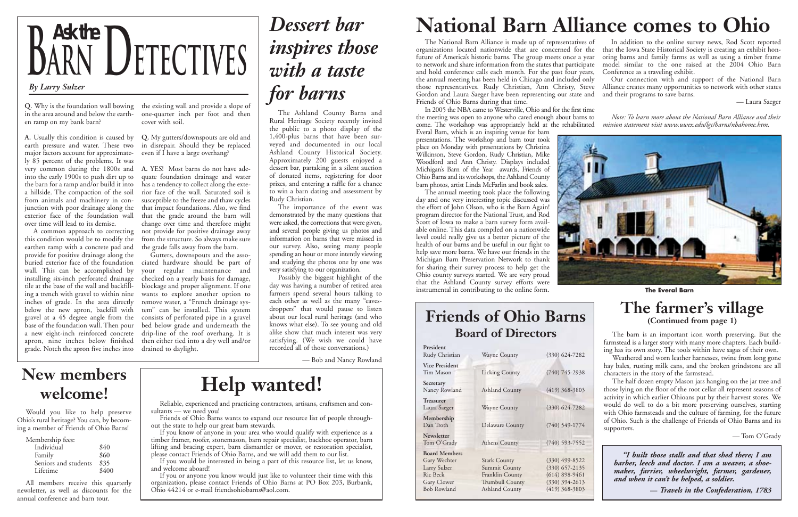Everal Barn, which is an inspiring venue for barn presentations. The workshop and barn tour took place on Monday with presentations by Christina Wilkinson, Steve Gordon, Rudy Christian, Mike Woodford and Ann Christy. Displays included Michigan's Barn of the Year awards, Friends of Ohio Barns and its workshops, the Ashland County barn photos, artist Linda McFarlin and book sales.

The National Barn Alliance is made up of representatives of organizations located nationwide that are concerned for the future of America's historic barns. The group meets once a year to network and share information from the states that participate and hold conference calls each month. For the past four years, the annual meeting has been held in Chicago and included only those representatives. Rudy Christian, Ann Christy, Steve Gordon and Laura Saeger have been representing our state and Friends of Ohio Barns during that time. In addition to the online survey news, Rod Scott reported that the Iowa State Historical Society is creating an exhibit hon-Conference as a traveling exhibit. Our connection with and support of the National Barn Alliance creates many opportunities to network with other states and their programs to save barns. — Laura Saeger

In 2005 the NBA came to Westerville, Ohio and for the first time the meeting was open to anyone who cared enough about barns to come. The workshop was appropriately held at the rehabilitated *Note: To learn more about the National Barn Alliance and their mission statement visit www.uwex.edu/lgc/barns/nbahome.htm.*

The annual meeting took place the following day and one very interesting topic discussed was the effort of John Olson, who is the Barn Again! program director for the National Trust, and Rod Scott of Iowa to make a barn survey form available online. This data compiled on a nationwide level could really give us a better picture of the health of our barns and be useful in our fight to help save more barns. We have our friends in the Michigan Barn Preservation Network to thank for sharing their survey process to help get the Ohio county surveys started. We are very proud that the Ashland County survey efforts were instrumental in contributing to the online form.



oring barns and family farms as well as using a timber frame model similar to the one raised at the 2004 Ohio Barn



en ramp on my bank barn?

**A.** Usually this condition is caused by **Q.** My gutters/downspouts are old and earth pressure and water. These two in disrepair. Should they be replaced major factors account for approximately 85 percent of the problems. It was very common during the 1800s and **A.** YES! Most barns do not have adeinto the early 1900s to push dirt up to quate foundation drainage and water the barn for a ramp and/or build it into a hillside. The compaction of the soil rior face of the wall. Saturated soil is from animals and machinery in con-susceptible to the freeze and thaw cycles junction with poor drainage along the that impact foundations. Also, we find exterior face of the foundation wall over time will lead to its demise.

**Q.** Why is the foundation wall bowing the existing wall and provide a slope of in the area around and below the earth-one-quarter inch per foot and then cover with soil.

> Friends of Ohio Barns wants to expand our resource list of people throughout the state to help our great barn stewards.

A common approach to correcting not provide for positive drainage away this condition would be to modify the from the structure. So always make sure has a tendency to collect along the extethat the grade around the barn will change over time and therefore might

even if I have a large overhang?

earthen ramp with a concrete pad and the grade falls away from the barn. provide for positive drainage along the buried exterior face of the foundation ciated hardware should be part of wall. This can be accomplished by your regular maintenance and installing six-inch perforated drainage checked on a yearly basis for damage, tile at the base of the wall and backfill-blockage and proper alignment. If one ing a trench with gravel to within nine wants to explore another option to inches of grade. In the area directly below the new apron, backfill with tem" can be installed. This system gravel at a 45 degree angle from the consists of perforated pipe in a gravel base of the foundation wall. Then pour bed below grade and underneath the a new eight-inch reinforced concrete drip-line of the roof overhang. It is apron, nine inches below finished then either tied into a dry well and/or grade. Notch the apron five inches into drained to daylight.

Gutters, downspouts and the assoremove water, a "French drainage sys-



## *Dessert bar inspires those with a taste for barns*

The Ashland County Barns and Rural Heritage Society recently invited the public to a photo display of the 1,400-plus barns that have been surveyed and documented in our local Ashland County Historical Society. Approximately 200 guests enjoyed a dessert bar, partaking in a silent auction of donated items, registering for door prizes, and entering a raffle for a chance to win a barn dating and assessment by Rudy Christian.

The importance of the event was demonstrated by the many questions that were asked, the corrections that were given, and several people giving us photos and information on barns that were missed in our survey. Also, seeing many people spending an hour or more intently viewing and studying the photos one by one was very satisfying to our organization.

Possibly the biggest highlight of the day was having a number of retired area farmers spend several hours talking to each other as well as the many "eavesdroppers" that would pause to listen about our local rural heritage (and who knows what else). To see young and old alike show that much interest was very satisfying. (We wish we could have recorded all of those conversations.)

#### — Bob and Nancy Rowland

### **Help wanted!**

Reliable, experienced and practicing contractors, artisans, craftsmen and consultants — we need you!

If you know of anyone in your area who would qualify with experience as a timber framer, roofer, stonemason, barn repair specialist, backhoe operator, barn lifting and bracing expert, barn dismantler or mover, or restoration specialist, please contact Friends of Ohio Barns, and we will add them to our list.

If you would be interested in being a part of this resource list, let us know, and welcome aboard!

If you or anyone you know would just like to volunteer their time with this organization, please contact Friends of Ohio Barns at PO Box 203, Burbank, Ohio 44214 or e-mail friendsohiobarns@aol.com.

### **New members welcome!**

Would you like to help preserve Ohio's rural heritage? You can, by becoming a member of Friends of Ohio Barns!

| Membership fees:     |       |
|----------------------|-------|
| Individual           | \$40  |
| Family               | \$60  |
| Seniors and students | \$35  |
| Lifetime             | \$400 |

All members receive this quarterly newsletter, as well as discounts for the annual conference and barn tour.

## **National Barn Alliance comes to Ohio**

#### **Friends of Ohio Barns Board of Directors**

| President<br>Rudy Christian                                                                           | <b>Wayne County</b>                                                                                 | $(330)$ 624-7282                                                                                 |
|-------------------------------------------------------------------------------------------------------|-----------------------------------------------------------------------------------------------------|--------------------------------------------------------------------------------------------------|
| <b>Vice President</b><br>Tim Mason                                                                    | <b>Licking County</b>                                                                               | $(740)$ 745-2938                                                                                 |
| Secretary<br>Nancy Rowland                                                                            | <b>Ashland County</b>                                                                               | $(419)$ 368-3803                                                                                 |
| <b>Treasurer</b><br>Laura Saeger                                                                      | <b>Wayne County</b>                                                                                 | $(330)$ 624-7282                                                                                 |
| Membership<br>Dan Troth                                                                               | Delaware County                                                                                     | $(740)$ 549-1774                                                                                 |
| Newsletter<br>Tom O'Grady                                                                             | Athens County                                                                                       | $(740)$ 593-7552                                                                                 |
| <b>Board Members</b><br>Gary Wechter<br>Larry Sulzer<br>Ric Beck<br>Gary Clower<br><b>Bob Rowland</b> | <b>Stark County</b><br>Summit County<br>Franklin County<br><b>Trumbull County</b><br>Ashland County | $(330)$ 499-8522<br>$(330)$ 657-2135<br>$(614)$ 898-9461<br>$(330)$ 394-2613<br>$(419)$ 368-3803 |
|                                                                                                       |                                                                                                     |                                                                                                  |

#### **The farmer's village (Continued from page 1)**

The barn is an important icon worth preserving. But the farmstead is a larger story with many more chapters. Each building has its own story. The tools within have sagas of their own.

Weathered and worn leather harnesses, twine from long gone hay bales, rusting milk cans, and the broken grindstone are all characters in the story of the farmstead.

The half dozen empty Mason jars hanging on the jar tree and those lying on the floor of the root cellar all represent seasons of activity in which earlier Ohioans put by their harvest stores. We would do well to do a bit more preserving ourselves, starting with Ohio farmsteads and the culture of farming, for the future of Ohio. Such is the challenge of Friends of Ohio Barns and its supporters.

— Tom O'Grady

**The Everal Barn**

*"I built those stalls and that shed there; I am barber, leech and doctor. I am a weaver, a shoemaker, farrier, wheelwright, farmer, gardener, and when it can't be helped, a soldier.* 

**—** *Travels in the Confederation, 1783*